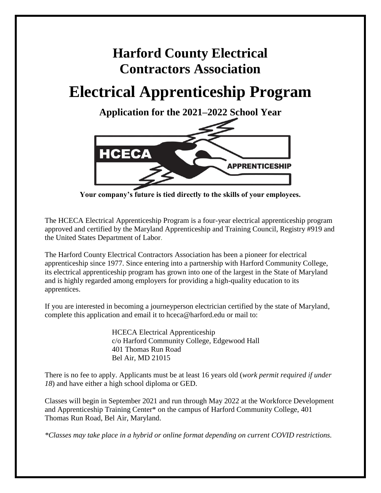# **Harford County Electrical Contractors Association**

# **Electrical Apprenticeship Program**

**Application for the 2021–2022 School Year**



**Your company's future is tied directly to the skills of your employees.**

The HCECA Electrical Apprenticeship Program is a four-year electrical apprenticeship program approved and certified by the Maryland Apprenticeship and Training Council, Registry #919 and the United States Department of Labor.

The Harford County Electrical Contractors Association has been a pioneer for electrical apprenticeship since 1977. Since entering into a partnership with Harford Community College, its electrical apprenticeship program has grown into one of the largest in the State of Maryland and is highly regarded among employers for providing a high-quality education to its apprentices.

If you are interested in becoming a journeyperson electrician certified by the state of Maryland, complete this application and email it to hceca@harford.edu or mail to:

> HCECA Electrical Apprenticeship c/o Harford Community College, Edgewood Hall 401 Thomas Run Road Bel Air, MD 21015

There is no fee to apply. Applicants must be at least 16 years old (*work permit required if under 18*) and have either a high school diploma or GED.

Classes will begin in September 2021 and run through May 2022 at the Workforce Development and Apprenticeship Training Center\* on the campus of Harford Community College, 401 Thomas Run Road, Bel Air, Maryland.

*\*Classes may take place in a hybrid or online format depending on current COVID restrictions.*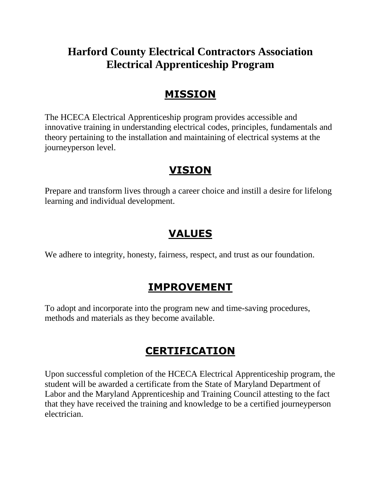# **Harford County Electrical Contractors Association Electrical Apprenticeship Program**

### **MISSION**

The HCECA Electrical Apprenticeship program provides accessible and innovative training in understanding electrical codes, principles, fundamentals and theory pertaining to the installation and maintaining of electrical systems at the journeyperson level.

## **VISION**

Prepare and transform lives through a career choice and instill a desire for lifelong learning and individual development.

# **VALUES**

We adhere to integrity, honesty, fairness, respect, and trust as our foundation.

### **IMPROVEMENT**

To adopt and incorporate into the program new and time-saving procedures, methods and materials as they become available.

# **CERTIFICATION**

Upon successful completion of the HCECA Electrical Apprenticeship program, the student will be awarded a certificate from the State of Maryland Department of Labor and the Maryland Apprenticeship and Training Council attesting to the fact that they have received the training and knowledge to be a certified journeyperson electrician.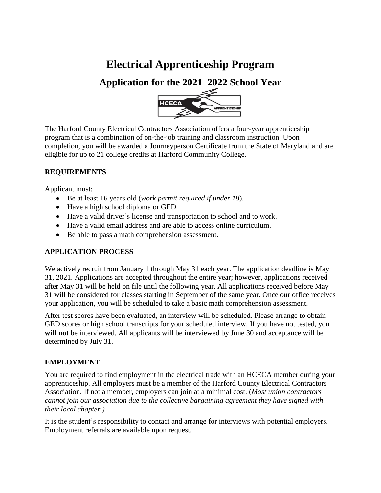# **Electrical Apprenticeship Program**

### **Application for the 2021–2022 School Year**



The Harford County Electrical Contractors Association offers a four-year apprenticeship program that is a combination of on-the-job training and classroom instruction. Upon completion, you will be awarded a Journeyperson Certificate from the State of Maryland and are eligible for up to 21 college credits at Harford Community College.

### **REQUIREMENTS**

Applicant must:

- Be at least 16 years old (*work permit required if under 18*).
- Have a high school diploma or GED.
- Have a valid driver's license and transportation to school and to work.
- Have a valid email address and are able to access online curriculum.
- Be able to pass a math comprehension assessment.

### **APPLICATION PROCESS**

We actively recruit from January 1 through May 31 each year. The application deadline is May 31, 2021. Applications are accepted throughout the entire year; however, applications received after May 31 will be held on file until the following year. All applications received before May 31 will be considered for classes starting in September of the same year. Once our office receives your application, you will be scheduled to take a basic math comprehension assessment.

After test scores have been evaluated, an interview will be scheduled. Please arrange to obtain GED scores or high school transcripts for your scheduled interview. If you have not tested, you will not be interviewed. All applicants will be interviewed by June 30 and acceptance will be determined by July 31.

### **EMPLOYMENT**

You are required to find employment in the electrical trade with an HCECA member during your apprenticeship. All employers must be a member of the Harford County Electrical Contractors Association. If not a member, employers can join at a minimal cost. (*Most union contractors cannot join our association due to the collective bargaining agreement they have signed with their local chapter.)*

It is the student's responsibility to contact and arrange for interviews with potential employers. Employment referrals are available upon request.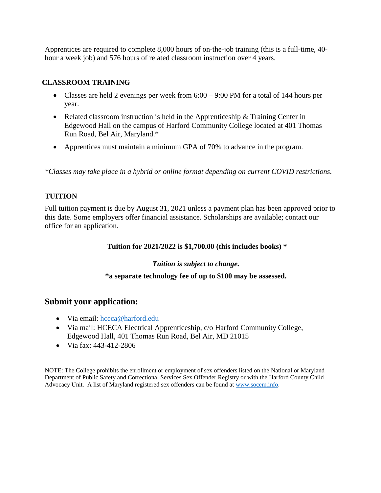Apprentices are required to complete 8,000 hours of on-the-job training (this is a full-time, 40 hour a week job) and 576 hours of related classroom instruction over 4 years.

#### **CLASSROOM TRAINING**

- Classes are held 2 evenings per week from  $6:00 9:00$  PM for a total of 144 hours per year.
- Related classroom instruction is held in the Apprenticeship & Training Center in Edgewood Hall on the campus of Harford Community College located at 401 Thomas Run Road, Bel Air, Maryland.\*
- Apprentices must maintain a minimum GPA of 70% to advance in the program.

*\*Classes may take place in a hybrid or online format depending on current COVID restrictions.*

### **TUITION**

Full tuition payment is due by August 31, 2021 unless a payment plan has been approved prior to this date. Some employers offer financial assistance. Scholarships are available; contact our office for an application.

**Tuition for 2021/2022 is \$1,700.00 (this includes books) \***

*Tuition is subject to change.*

#### **\*a separate technology fee of up to \$100 may be assessed.**

### **Submit your application:**

- Via email: [hceca@harford.edu](mailto:hceca@harford.edu)
- Via mail: HCECA Electrical Apprenticeship, c/o Harford Community College, Edgewood Hall, 401 Thomas Run Road, Bel Air, MD 21015
- Via fax: 443-412-2806

NOTE: The College prohibits the enrollment or employment of sex offenders listed on the National or Maryland Department of Public Safety and Correctional Services Sex Offender Registry or with the Harford County Child Advocacy Unit. A list of Maryland registered sex offenders can be found at [www.socem.info.](http://www.socem.info/)